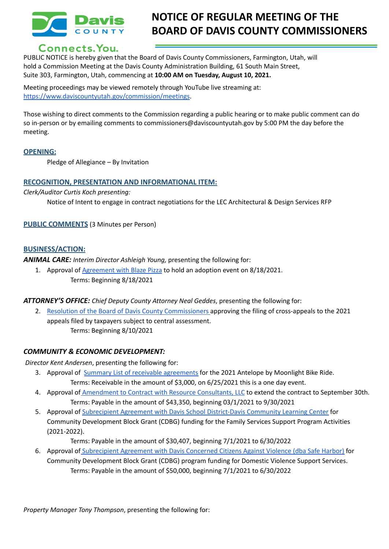

## **NOTICE OF REGULAR MEETING OF THE BOARD OF DAVIS COUNTY COMMISSIONERS**

### Connects. You.

PUBLIC NOTICE is hereby given that the Board of Davis County Commissioners, Farmington, Utah, will hold a Commission Meeting at the Davis County Administration Building, 61 South Main Street, Suite 303, Farmington, Utah, commencing at **10:00 AM on Tuesday, August 10, 2021.**

Meeting proceedings may be viewed remotely through YouTube live streaming at: [https://www.daviscountyutah.gov/commission/meetings.](https://www.daviscountyutah.gov/commission/meetings)

Those wishing to direct comments to the Commission regarding a public hearing or to make public comment can do so in-person or by emailing comments to commissioners@daviscountyutah.gov by 5:00 PM the day before the meeting.

#### **OPENING:**

Pledge of Allegiance – By Invitation

#### **RECOGNITION, PRESENTATION AND INFORMATIONAL ITEM:**

*Clerk/Auditor Curtis Koch presenting:*

Notice of Intent to engage in contract negotiations for the LEC Architectural & Design Services RFP

**PUBLIC COMMENTS** (3 Minutes per Person)

#### **BUSINESS/ACTION:**

*ANIMAL CARE: Interim Director Ashleigh Young,* presenting the following for:

1. Approval of [Agreement](https://drive.google.com/file/d/11NLGRpBpf2CgWXTR6tCl1j2MAAC5xAU_/view?usp=sharing) with Blaze Pizza to hold an adoption event on 8/18/2021. Terms: Beginning 8/18/2021

#### *ATTORNEY'S OFFICE: Chief Deputy County Attorney Neal Geddes*, presenting the following for:

2. Resolution of the Board of Davis County [Commissioners](https://drive.google.com/file/d/1mLjC5y2nG4ZmzcdL28sbi_mJpBYTlbZH/view?usp=sharing) approving the filing of cross-appeals to the 2021 appeals filed by taxpayers subject to central assessment. Terms: Beginning 8/10/2021

# *COMMUNITY & ECONOMIC DEVELOPMENT:*

*Director Kent Andersen*, presenting the following for:

- 3. Approval of Summary List of receivable [agreements](https://drive.google.com/file/d/1lkdTcMoOQnsSZi4OUTSSUibj28oQZme6/view?usp=sharing) for the 2021 Antelope by Moonlight Bike Ride. Terms: Receivable in the amount of \$3,000, on 6/25/2021 this is a one day event.
- 4. Approval of **[Amendment](https://drive.google.com/file/d/1jxn1Mr0TD6lMFlU0Sj7DJi1JieJ7UZKu/view?usp=sharing) to Contract with Resource Consultants, LLC** to extend the contract to September 30th. Terms: Payable in the amount of \$43,350, beginning 03/1/2021 to 9/30/2021
- 5. Approval of Subrecipient Agreement with Davis School [District-Davis](https://drive.google.com/file/d/1mIh4gXyyLeOSx57XDpT6IZuWXSDrfU_n/view?usp=sharing) Community Learning Center for Community Development Block Grant (CDBG) funding for the Family Services Support Program Activities (2021-2022).

Terms: Payable in the amount of \$30,407, beginning 7/1/2021 to 6/30/2022

6. Approval of [Subrecipient](https://drive.google.com/file/d/1YjjPE0RruhHNmQOa4WvZeQHj0U8fdTSK/view?usp=sharing) Agreement with Davis Concerned Citizens Against Violence (dba Safe Harbor) for Community Development Block Grant (CDBG) program funding for Domestic Violence Support Services. Terms: Payable in the amount of \$50,000, beginning 7/1/2021 to 6/30/2022